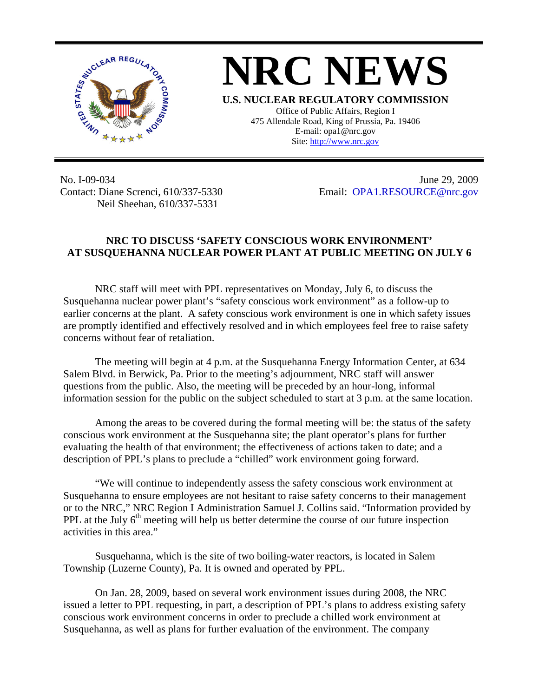

## **NRC NEWS**

**U.S. NUCLEAR REGULATORY COMMISSION** Office of Public Affairs, Region I 475 Allendale Road, King of Prussia, Pa. 19406 E-mail: opa1@nrc.gov Site: http://www.nrc.gov

No. I-09-034 Contact: Diane Screnci, 610/337-5330 Neil Sheehan, 610/337-5331

June 29, 2009 Email: [OPA1.RESOURCE@nrc.gov](mailto:OPA1.RESOURCE@nrc.gov)

## **NRC TO DISCUSS 'SAFETY CONSCIOUS WORK ENVIRONMENT' AT SUSQUEHANNA NUCLEAR POWER PLANT AT PUBLIC MEETING ON JULY 6**

NRC staff will meet with PPL representatives on Monday, July 6, to discuss the Susquehanna nuclear power plant's "safety conscious work environment" as a follow-up to earlier concerns at the plant. A safety conscious work environment is one in which safety issues are promptly identified and effectively resolved and in which employees feel free to raise safety concerns without fear of retaliation.

The meeting will begin at 4 p.m. at the Susquehanna Energy Information Center, at 634 Salem Blvd. in Berwick, Pa. Prior to the meeting's adjournment, NRC staff will answer questions from the public. Also, the meeting will be preceded by an hour-long, informal information session for the public on the subject scheduled to start at 3 p.m. at the same location.

Among the areas to be covered during the formal meeting will be: the status of the safety conscious work environment at the Susquehanna site; the plant operator's plans for further evaluating the health of that environment; the effectiveness of actions taken to date; and a description of PPL's plans to preclude a "chilled" work environment going forward.

"We will continue to independently assess the safety conscious work environment at Susquehanna to ensure employees are not hesitant to raise safety concerns to their management or to the NRC," NRC Region I Administration Samuel J. Collins said. "Information provided by PPL at the July  $6<sup>th</sup>$  meeting will help us better determine the course of our future inspection activities in this area."

Susquehanna, which is the site of two boiling-water reactors, is located in Salem Township (Luzerne County), Pa. It is owned and operated by PPL.

On Jan. 28, 2009, based on several work environment issues during 2008, the NRC issued a letter to PPL requesting, in part, a description of PPL's plans to address existing safety conscious work environment concerns in order to preclude a chilled work environment at Susquehanna, as well as plans for further evaluation of the environment. The company